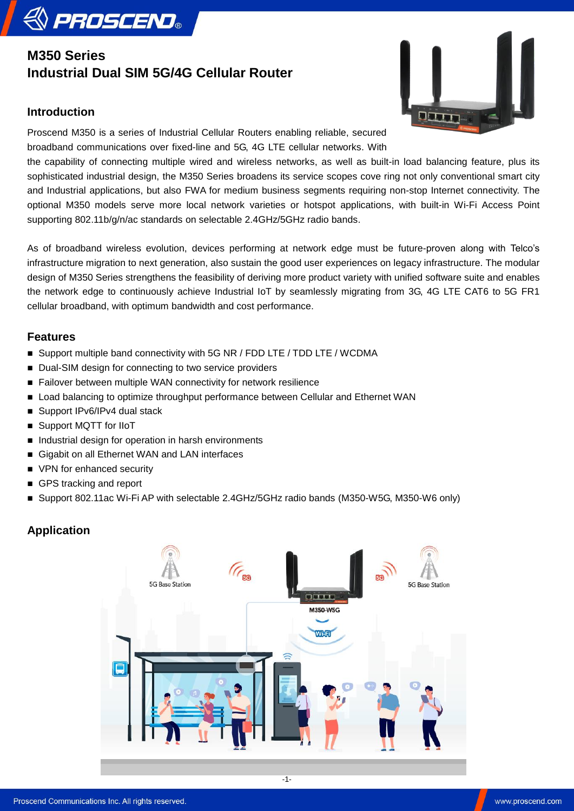# **M350 Series Industrial Dual SIM 5G/4G Cellular Router**

### **Introduction**

**& PROSCEND** 

Qum

Proscend M350 is a series of Industrial Cellular Routers enabling reliable, secured broadband communications over fixed-line and 5G, 4G LTE cellular networks. With

the capability of connecting multiple wired and wireless networks, as well as built-in load balancing feature, plus its sophisticated industrial design, the M350 Series broadens its service scopes cove ring not only conventional smart city and Industrial applications, but also FWA for medium business segments requiring non-stop Internet connectivity. The optional M350 models serve more local network varieties or hotspot applications, with built-in Wi-Fi Access Point supporting 802.11b/g/n/ac standards on selectable 2.4GHz/5GHz radio bands.

As of broadband wireless evolution, devices performing at network edge must be future-proven along with Telco's infrastructure migration to next generation, also sustain the good user experiences on legacy infrastructure. The modular design of M350 Series strengthens the feasibility of deriving more product variety with unified software suite and enables the network edge to continuously achieve Industrial IoT by seamlessly migrating from 3G, 4G LTE CAT6 to 5G FR1 cellular broadband, with optimum bandwidth and cost performance.

## **Features**

- Support multiple band connectivity with 5G NR / FDD LTE / TDD LTE / WCDMA
- Dual-SIM design for connecting to two service providers
- Failover between multiple WAN connectivity for network resilience
- **Load balancing to optimize throughput performance between Cellular and Ethernet WAN**
- Support IPv6/IPv4 dual stack
- Support MQTT for IIoT
- Industrial design for operation in harsh environments
- Gigabit on all Ethernet WAN and LAN interfaces
- VPN for enhanced security
- GPS tracking and report
- Support 802.11ac Wi-Fi AP with selectable 2.4GHz/5GHz radio bands (M350-W5G, M350-W6 only)

#### **Application**



-1-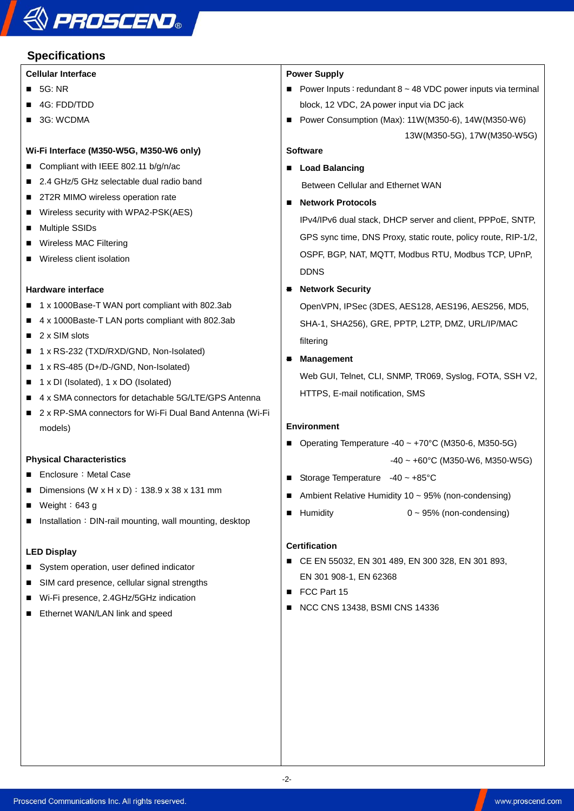# **& PROSCEND®**

# **Specifications**

#### **Cellular Interface**

- $\blacksquare$  5G: NR
- 4G: FDD/TDD
- 3G: WCDMA

#### **Wi-Fi Interface (M350-W5G, M350-W6 only)**

- Compliant with IEEE 802.11 b/g/n/ac
- 2.4 GHz/5 GHz selectable dual radio band
- 2T2R MIMO wireless operation rate
- Wireless security with WPA2-PSK(AES)
- **Multiple SSIDs**
- Wireless MAC Filtering
- **Wireless client isolation**

#### **Hardware interface**

- 1 x 1000Base-T WAN port compliant with 802.3ab
- 4 x 1000Baste-T LAN ports compliant with 802.3ab
- $\blacksquare$  2 x SIM slots
- 1 x RS-232 (TXD/RXD/GND, Non-Isolated)
- $\blacksquare$  1 x RS-485 (D+/D-/GND, Non-Isolated)
- 1 x DI (Isolated), 1 x DO (Isolated)
- 4 x SMA connectors for detachable 5G/LTE/GPS Antenna
- 2 x RP-SMA connectors for Wi-Fi Dual Band Antenna (Wi-Fi models)

#### **Physical Characteristics**

- Enclosure: Metal Case
- Dimensions (W x H x D) :  $138.9 \times 38 \times 131$  mm
- $\blacksquare$  Weight: 643 g
- **Installation: DIN-rail mounting, wall mounting, desktop**

#### **LED Display**

- System operation, user defined indicator
- SIM card presence, cellular signal strengths
- Wi-Fi presence, 2.4GHz/5GHz indication
- **Ethernet WAN/LAN link and speed**

#### **Power Supply**

- Power Inputs: redundant  $8 \sim 48$  VDC power inputs via terminal block, 12 VDC, 2A power input via DC jack
- Power Consumption (Max): 11W(M350-6), 14W(M350-W6) 13W(M350-5G), 17W(M350-W5G)

#### **Software**

- Load Balancing Between Cellular and Ethernet WAN
- **Network Protocols**

IPv4/IPv6 dual stack, DHCP server and client, PPPoE, SNTP, GPS sync time, DNS Proxy, static route, policy route, RIP-1/2, OSPF, BGP, NAT, MQTT, Modbus RTU, Modbus TCP, UPnP, DDNS

#### **Network Security**

OpenVPN, IPSec (3DES, AES128, AES196, AES256, MD5, SHA-1, SHA256), GRE, PPTP, L2TP, DMZ, URL/IP/MAC filtering

#### **Management**

Web GUI, Telnet, CLI, SNMP, TR069, Syslog, FOTA, SSH V2, HTTPS, E-mail notification, SMS

#### **Environment**

- Operating Temperature  $-40 \sim +70^{\circ}$ C (M350-6, M350-5G) -40 ~ +60°C (M350-W6, M350-W5G)
- Storage Temperature  $-40 \sim +85^{\circ}$ C
- Ambient Relative Humidity  $10 \sim 95\%$  (non-condensing)
- $\blacksquare$  Humidity  $0 \sim 95\%$  (non-condensing)

#### **Certification**

- CE EN 55032, EN 301 489, EN 300 328, EN 301 893, EN 301 908-1, EN 62368
- ECC Part 15
- NCC CNS 13438, BSMI CNS 14336